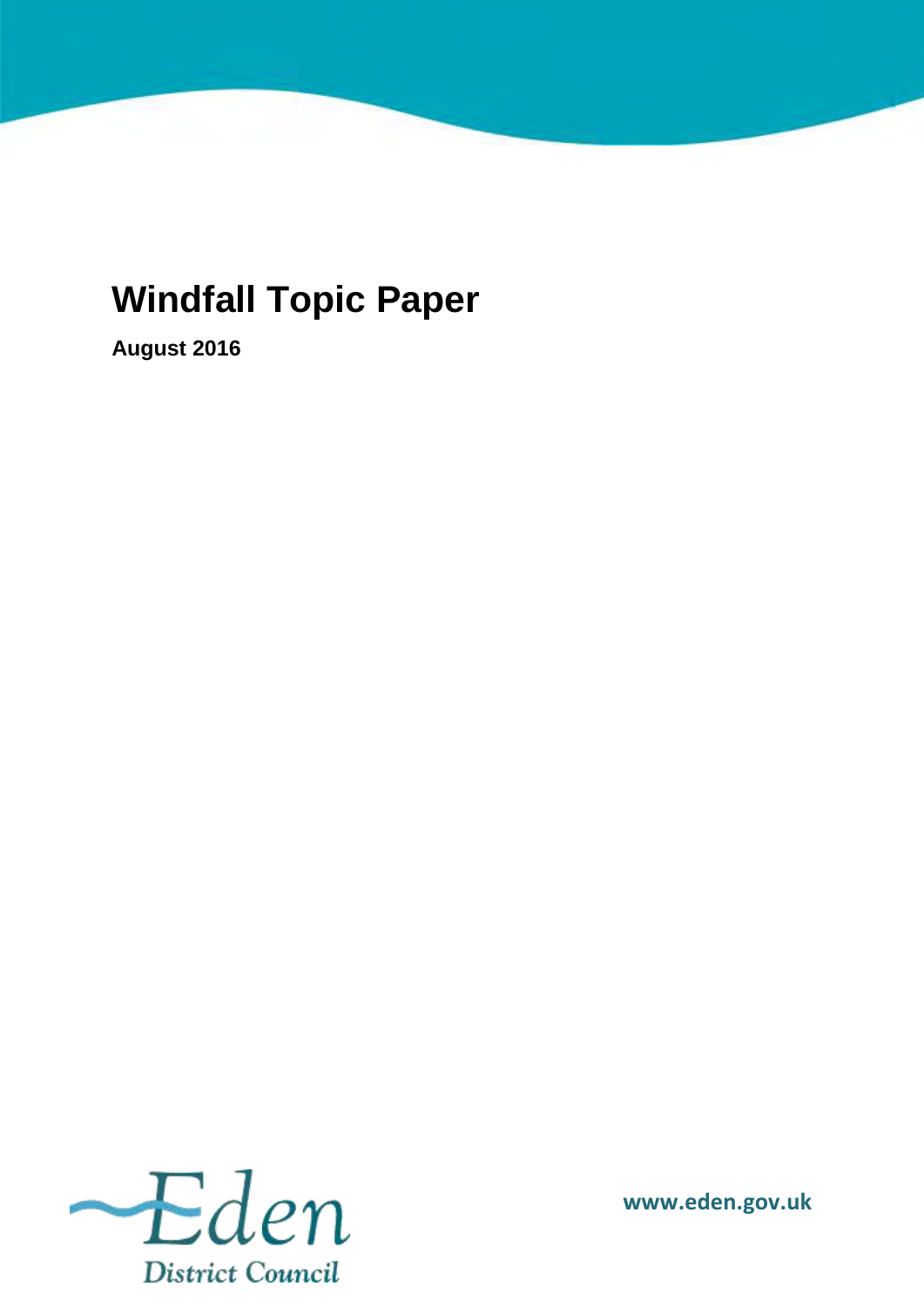# **Windfall Topic Paper**

**August 2016** 



**www.eden.gov.uk**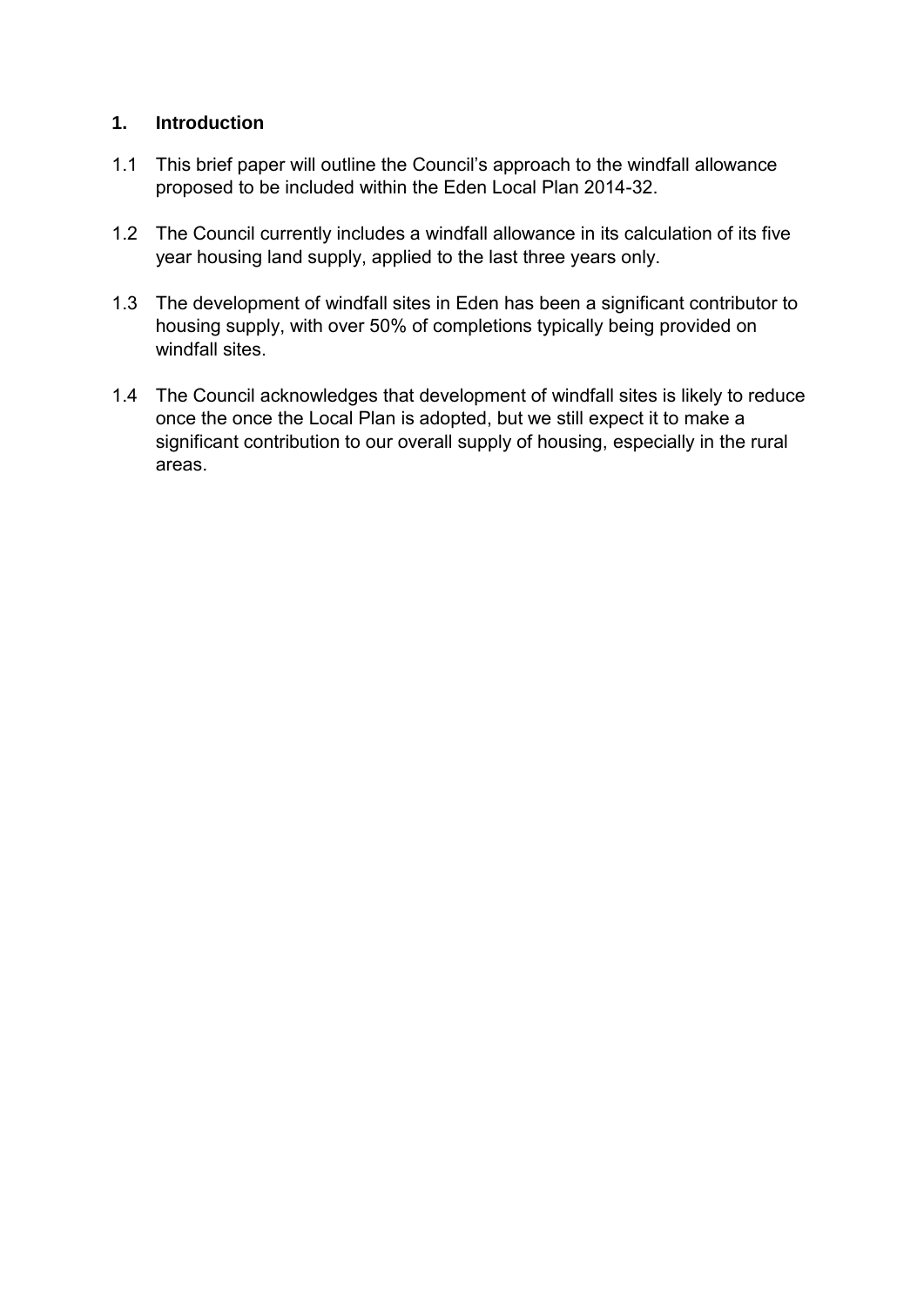## **1. Introduction**

- 1.1 This brief paper will outline the Council's approach to the windfall allowance proposed to be included within the Eden Local Plan 2014-32.
- 1.2 The Council currently includes a windfall allowance in its calculation of its five year housing land supply, applied to the last three years only.
- 1.3 The development of windfall sites in Eden has been a significant contributor to housing supply, with over 50% of completions typically being provided on windfall sites.
- 1.4 The Council acknowledges that development of windfall sites is likely to reduce once the once the Local Plan is adopted, but we still expect it to make a significant contribution to our overall supply of housing, especially in the rural areas.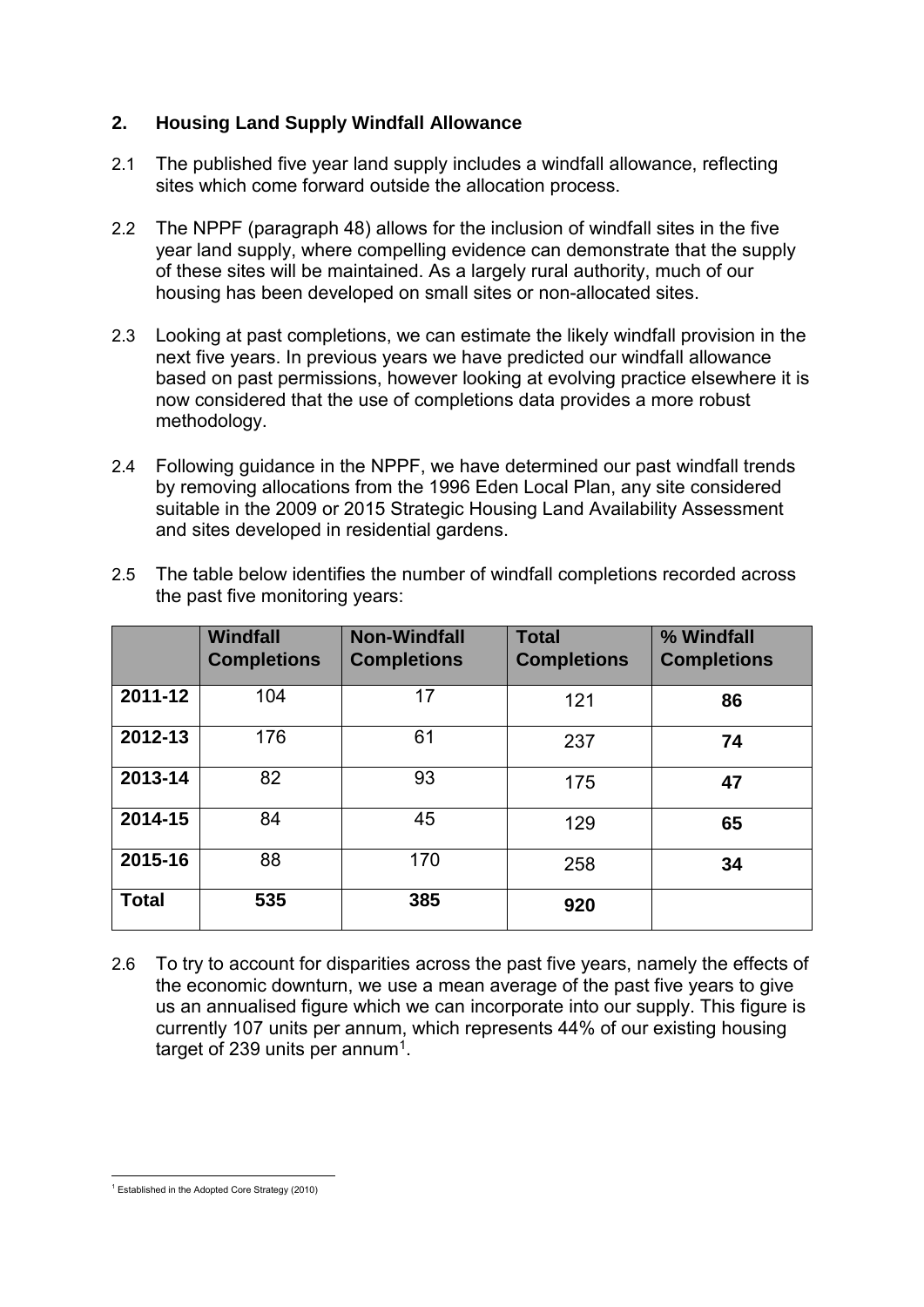### **2. Housing Land Supply Windfall Allowance**

- 2.1 The published five year land supply includes a windfall allowance, reflecting sites which come forward outside the allocation process.
- 2.2 The NPPF (paragraph 48) allows for the inclusion of windfall sites in the five year land supply, where compelling evidence can demonstrate that the supply of these sites will be maintained. As a largely rural authority, much of our housing has been developed on small sites or non-allocated sites.
- 2.3 Looking at past completions, we can estimate the likely windfall provision in the next five years. In previous years we have predicted our windfall allowance based on past permissions, however looking at evolving practice elsewhere it is now considered that the use of completions data provides a more robust methodology.
- 2.4 Following guidance in the NPPF, we have determined our past windfall trends by removing allocations from the 1996 Eden Local Plan, any site considered suitable in the 2009 or 2015 Strategic Housing Land Availability Assessment and sites developed in residential gardens.

|              | Windfall<br><b>Completions</b> | <b>Non-Windfall</b><br><b>Completions</b> | <b>Total</b><br><b>Completions</b> | % Windfall<br><b>Completions</b> |
|--------------|--------------------------------|-------------------------------------------|------------------------------------|----------------------------------|
| 2011-12      | 104                            | 17                                        | 121                                | 86                               |
| 2012-13      | 176                            | 61                                        | 237                                | 74                               |
| 2013-14      | 82                             | 93                                        | 175                                | 47                               |
| 2014-15      | 84                             | 45                                        | 129                                | 65                               |
| 2015-16      | 88                             | 170                                       | 258                                | 34                               |
| <b>Total</b> | 535                            | 385                                       | 920                                |                                  |

2.5 The table below identifies the number of windfall completions recorded across the past five monitoring years:

2.6 To try to account for disparities across the past five years, namely the effects of the economic downturn, we use a mean average of the past five years to give us an annualised figure which we can incorporate into our supply. This figure is currently 107 units per annum, which represents 44% of our existing housing target of 239 units per annum $^1$ .

**<sup>.</sup>** 1 Established in the Adopted Core Strategy (2010)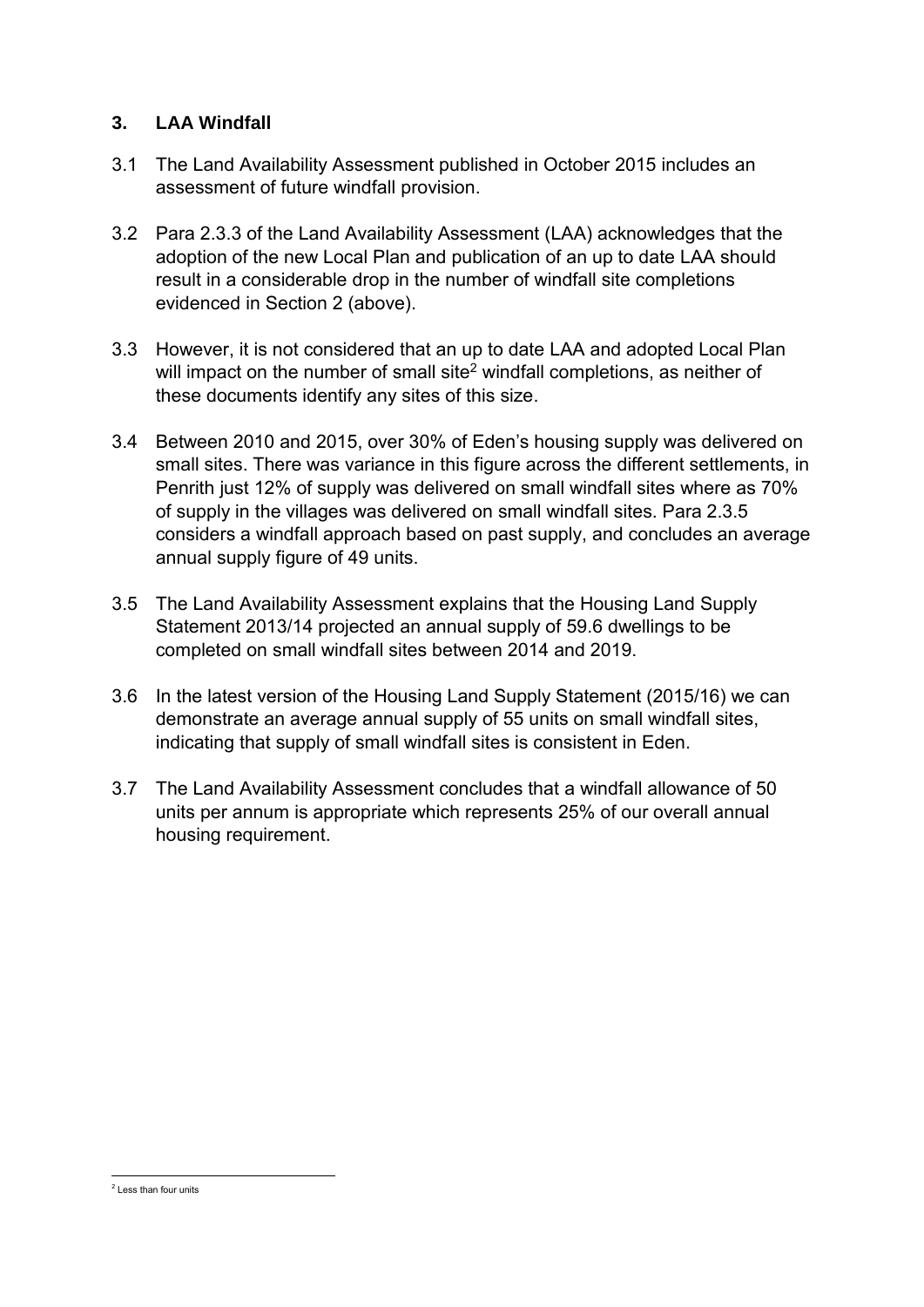### **3. LAA Windfall**

- 3.1 The Land Availability Assessment published in October 2015 includes an assessment of future windfall provision.
- 3.2 Para 2.3.3 of the Land Availability Assessment (LAA) acknowledges that the adoption of the new Local Plan and publication of an up to date LAA should result in a considerable drop in the number of windfall site completions evidenced in Section 2 (above).
- 3.3 However, it is not considered that an up to date LAA and adopted Local Plan will impact on the number of small site $^2$  windfall completions, as neither of these documents identify any sites of this size.
- 3.4 Between 2010 and 2015, over 30% of Eden's housing supply was delivered on small sites. There was variance in this figure across the different settlements, in Penrith just 12% of supply was delivered on small windfall sites where as 70% of supply in the villages was delivered on small windfall sites. Para 2.3.5 considers a windfall approach based on past supply, and concludes an average annual supply figure of 49 units.
- 3.5 The Land Availability Assessment explains that the Housing Land Supply Statement 2013/14 projected an annual supply of 59.6 dwellings to be completed on small windfall sites between 2014 and 2019.
- 3.6 In the latest version of the Housing Land Supply Statement (2015/16) we can demonstrate an average annual supply of 55 units on small windfall sites, indicating that supply of small windfall sites is consistent in Eden.
- 3.7 The Land Availability Assessment concludes that a windfall allowance of 50 units per annum is appropriate which represents 25% of our overall annual housing requirement.

**<sup>.</sup>** 2 Less than four units